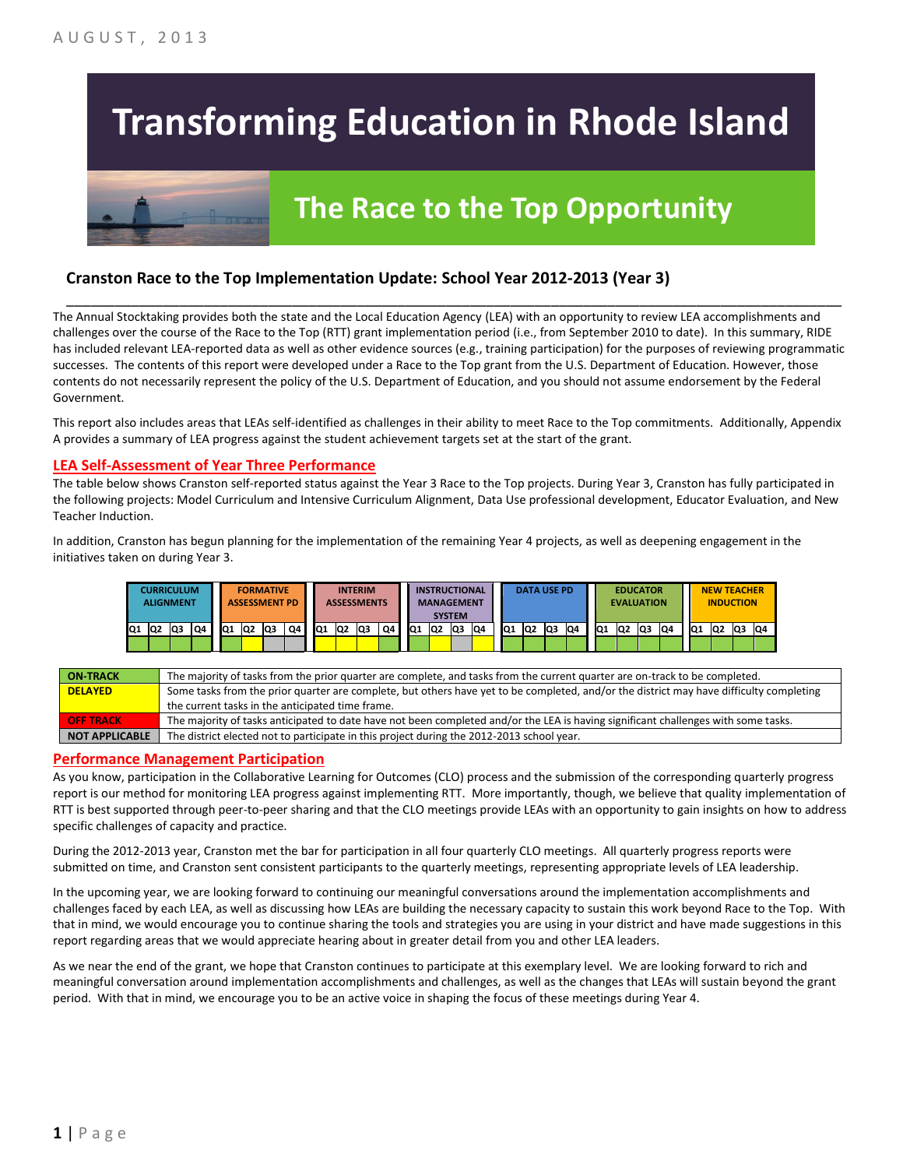# **Transforming Education in Rhode Island**

# **The Race to the Top Opportunity**

### **Cranston Race to the Top Implementation Update: School Year 2012-2013 (Year 3)**

The Annual Stocktaking provides both the state and the Local Education Agency (LEA) with an opportunity to review LEA accomplishments and challenges over the course of the Race to the Top (RTT) grant implementation period (i.e., from September 2010 to date). In this summary, RIDE has included relevant LEA-reported data as well as other evidence sources (e.g., training participation) for the purposes of reviewing programmatic successes. The contents of this report were developed under a Race to the Top grant from the U.S. Department of Education. However, those contents do not necessarily represent the policy of the U.S. Department of Education, and you should not assume endorsement by the Federal Government.

\_\_\_\_\_\_\_\_\_\_\_\_\_\_\_\_\_\_\_\_\_\_\_\_\_\_\_\_\_\_\_\_\_\_\_\_\_\_\_\_\_\_\_\_\_\_\_\_\_\_\_\_\_\_\_\_\_\_\_\_\_\_\_\_\_\_\_\_\_\_\_\_\_\_\_\_\_\_\_\_\_\_\_\_\_\_\_\_\_\_\_\_\_\_\_\_

This report also includes areas that LEAs self-identified as challenges in their ability to meet Race to the Top commitments. Additionally, Appendix A provides a summary of LEA progress against the student achievement targets set at the start of the grant.

#### **LEA Self-Assessment of Year Three Performance**

The table below shows Cranston self-reported status against the Year 3 Race to the Top projects. During Year 3, Cranston has fully participated in the following projects: Model Curriculum and Intensive Curriculum Alignment, Data Use professional development, Educator Evaluation, and New Teacher Induction.

In addition, Cranston has begun planning for the implementation of the remaining Year 4 projects, as well as deepening engagement in the initiatives taken on during Year 3.



| <b>ON-TRACK</b>       | The majority of tasks from the prior quarter are complete, and tasks from the current quarter are on-track to be completed.             |
|-----------------------|-----------------------------------------------------------------------------------------------------------------------------------------|
| <b>DELAYED</b>        | Some tasks from the prior quarter are complete, but others have yet to be completed, and/or the district may have difficulty completing |
|                       | the current tasks in the anticipated time frame.                                                                                        |
| <b>OFF TRACK</b>      | The majority of tasks anticipated to date have not been completed and/or the LEA is having significant challenges with some tasks.      |
| <b>NOT APPLICABLE</b> | The district elected not to participate in this project during the 2012-2013 school year.                                               |

#### **Performance Management Participation**

As you know, participation in the Collaborative Learning for Outcomes (CLO) process and the submission of the corresponding quarterly progress report is our method for monitoring LEA progress against implementing RTT. More importantly, though, we believe that quality implementation of RTT is best supported through peer-to-peer sharing and that the CLO meetings provide LEAs with an opportunity to gain insights on how to address specific challenges of capacity and practice.

During the 2012-2013 year, Cranston met the bar for participation in all four quarterly CLO meetings. All quarterly progress reports were submitted on time, and Cranston sent consistent participants to the quarterly meetings, representing appropriate levels of LEA leadership.

In the upcoming year, we are looking forward to continuing our meaningful conversations around the implementation accomplishments and challenges faced by each LEA, as well as discussing how LEAs are building the necessary capacity to sustain this work beyond Race to the Top. With that in mind, we would encourage you to continue sharing the tools and strategies you are using in your district and have made suggestions in this report regarding areas that we would appreciate hearing about in greater detail from you and other LEA leaders.

As we near the end of the grant, we hope that Cranston continues to participate at this exemplary level. We are looking forward to rich and meaningful conversation around implementation accomplishments and challenges, as well as the changes that LEAs will sustain beyond the grant period. With that in mind, we encourage you to be an active voice in shaping the focus of these meetings during Year 4.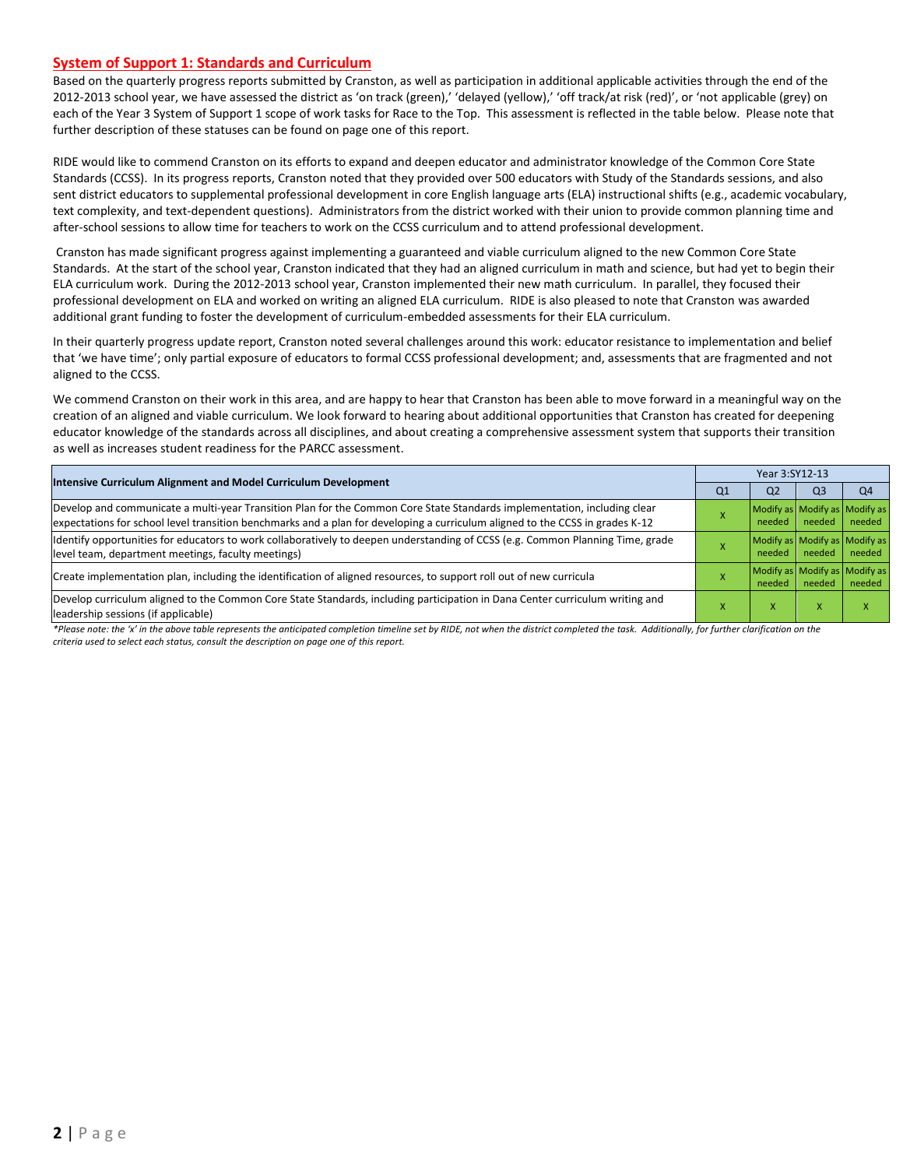#### **System of Support 1: Standards and Curriculum**

Based on the quarterly progress reports submitted by Cranston, as well as participation in additional applicable activities through the end of the 2012-2013 school year, we have assessed the district as 'on track (green),' 'delayed (yellow),' 'off track/at risk (red)', or 'not applicable (grey) on each of the Year 3 System of Support 1 scope of work tasks for Race to the Top. This assessment is reflected in the table below. Please note that further description of these statuses can be found on page one of this report.

RIDE would like to commend Cranston on its efforts to expand and deepen educator and administrator knowledge of the Common Core State Standards (CCSS). In its progress reports, Cranston noted that they provided over 500 educators with Study of the Standards sessions, and also sent district educators to supplemental professional development in core English language arts (ELA) instructional shifts (e.g., academic vocabulary, text complexity, and text-dependent questions). Administrators from the district worked with their union to provide common planning time and after-school sessions to allow time for teachers to work on the CCSS curriculum and to attend professional development.

Cranston has made significant progress against implementing a guaranteed and viable curriculum aligned to the new Common Core State Standards. At the start of the school year, Cranston indicated that they had an aligned curriculum in math and science, but had yet to begin their ELA curriculum work. During the 2012-2013 school year, Cranston implemented their new math curriculum. In parallel, they focused their professional development on ELA and worked on writing an aligned ELA curriculum. RIDE is also pleased to note that Cranston was awarded additional grant funding to foster the development of curriculum-embedded assessments for their ELA curriculum.

In their quarterly progress update report, Cranston noted several challenges around this work: educator resistance to implementation and belief that 'we have time'; only partial exposure of educators to formal CCSS professional development; and, assessments that are fragmented and not aligned to the CCSS.

We commend Cranston on their work in this area, and are happy to hear that Cranston has been able to move forward in a meaningful way on the creation of an aligned and viable curriculum. We look forward to hearing about additional opportunities that Cranston has created for deepening educator knowledge of the standards across all disciplines, and about creating a comprehensive assessment system that supports their transition as well as increases student readiness for the PARCC assessment.

| Intensive Curriculum Alignment and Model Curriculum Development                                                                                                                                                                                           |                | Year 3:SY12-13                          |                |                                         |  |  |  |
|-----------------------------------------------------------------------------------------------------------------------------------------------------------------------------------------------------------------------------------------------------------|----------------|-----------------------------------------|----------------|-----------------------------------------|--|--|--|
|                                                                                                                                                                                                                                                           | Q <sub>1</sub> | Q <sub>2</sub>                          | Q <sub>3</sub> | Q4                                      |  |  |  |
| Develop and communicate a multi-year Transition Plan for the Common Core State Standards implementation, including clear<br>expectations for school level transition benchmarks and a plan for developing a curriculum aligned to the CCSS in grades K-12 |                | Modify as Modify as Modify as<br>needed | needed         | needed                                  |  |  |  |
| Identify opportunities for educators to work collaboratively to deepen understanding of CCSS (e.g. Common Planning Time, grade<br>level team, department meetings, faculty meetings)                                                                      |                | Modify as Modify as Modify as<br>needed | needed         | needed                                  |  |  |  |
| Create implementation plan, including the identification of aligned resources, to support roll out of new curricula                                                                                                                                       |                | needed                                  | needed         | Modify as Modify as Modify as<br>needed |  |  |  |
| Develop curriculum aligned to the Common Core State Standards, including participation in Dana Center curriculum writing and<br>leadership sessions (if applicable)                                                                                       |                | x                                       | x              |                                         |  |  |  |

*\*Please note: the 'x' in the above table represents the anticipated completion timeline set by RIDE, not when the district completed the task. Additionally, for further clarification on the criteria used to select each status, consult the description on page one of this report.*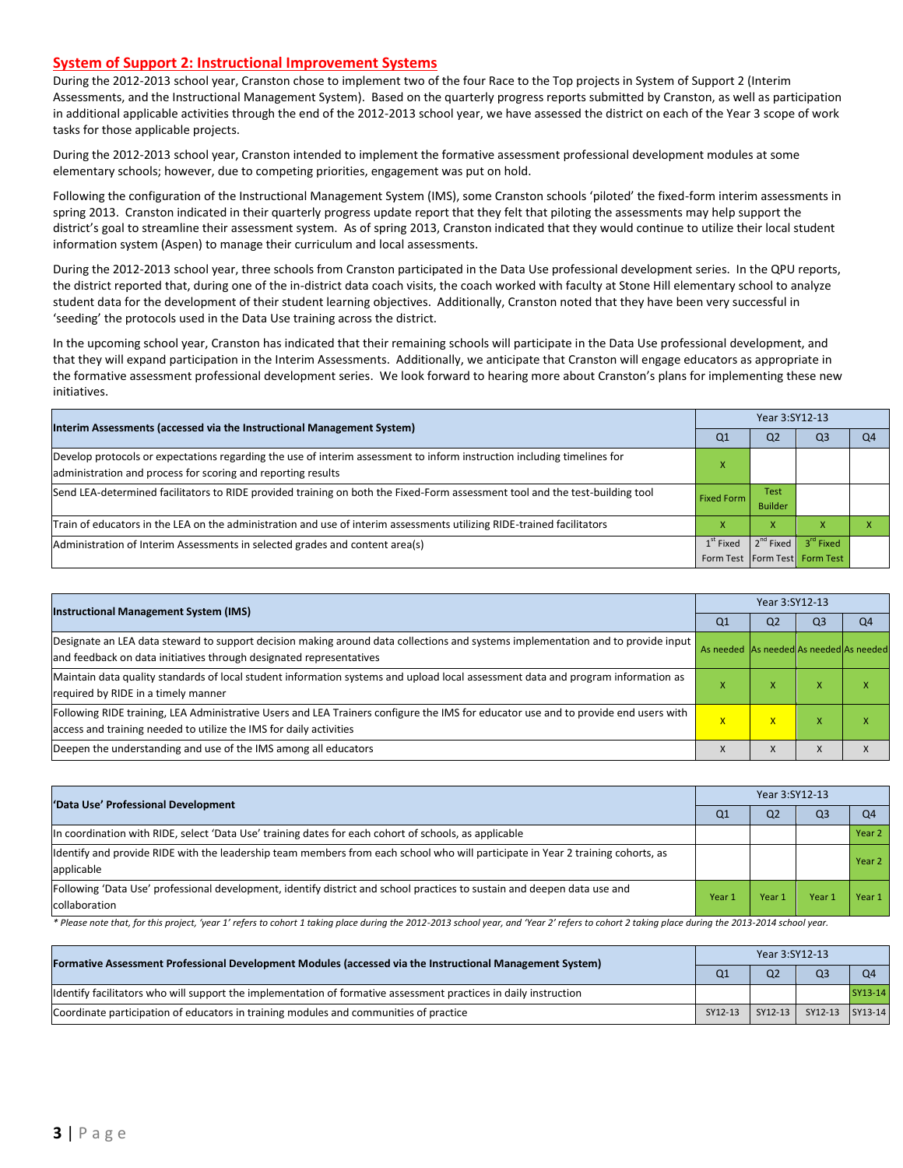#### **System of Support 2: Instructional Improvement Systems**

During the 2012-2013 school year, Cranston chose to implement two of the four Race to the Top projects in System of Support 2 (Interim Assessments, and the Instructional Management System). Based on the quarterly progress reports submitted by Cranston, as well as participation in additional applicable activities through the end of the 2012-2013 school year, we have assessed the district on each of the Year 3 scope of work tasks for those applicable projects.

During the 2012-2013 school year, Cranston intended to implement the formative assessment professional development modules at some elementary schools; however, due to competing priorities, engagement was put on hold.

Following the configuration of the Instructional Management System (IMS), some Cranston schools 'piloted' the fixed-form interim assessments in spring 2013. Cranston indicated in their quarterly progress update report that they felt that piloting the assessments may help support the district's goal to streamline their assessment system. As of spring 2013, Cranston indicated that they would continue to utilize their local student information system (Aspen) to manage their curriculum and local assessments.

During the 2012-2013 school year, three schools from Cranston participated in the Data Use professional development series. In the QPU reports, the district reported that, during one of the in-district data coach visits, the coach worked with faculty at Stone Hill elementary school to analyze student data for the development of their student learning objectives. Additionally, Cranston noted that they have been very successful in 'seeding' the protocols used in the Data Use training across the district.

In the upcoming school year, Cranston has indicated that their remaining schools will participate in the Data Use professional development, and that they will expand participation in the Interim Assessments. Additionally, we anticipate that Cranston will engage educators as appropriate in the formative assessment professional development series. We look forward to hearing more about Cranston's plans for implementing these new initiatives.

| Interim Assessments (accessed via the Instructional Management System)                                                                                                                  |                   | Year 3:SY12-13                |                                                            |    |  |  |  |
|-----------------------------------------------------------------------------------------------------------------------------------------------------------------------------------------|-------------------|-------------------------------|------------------------------------------------------------|----|--|--|--|
|                                                                                                                                                                                         | Q <sub>1</sub>    | Q <sub>2</sub>                | Q <sub>3</sub>                                             | Q4 |  |  |  |
| Develop protocols or expectations regarding the use of interim assessment to inform instruction including timelines for<br>administration and process for scoring and reporting results |                   |                               |                                                            |    |  |  |  |
| Send LEA-determined facilitators to RIDE provided training on both the Fixed-Form assessment tool and the test-building tool                                                            | <b>Fixed Form</b> | <b>Test</b><br><b>Builder</b> |                                                            |    |  |  |  |
| Train of educators in the LEA on the administration and use of interim assessments utilizing RIDE-trained facilitators                                                                  |                   | x                             |                                                            |    |  |  |  |
| Administration of Interim Assessments in selected grades and content area(s)                                                                                                            | $1st$ Fixed       | $2^{nd}$ Fixed                | $3^{\text{rd}}$ Fixed<br>Form Test   Form Test   Form Test |    |  |  |  |

| <b>Instructional Management System (IMS)</b>                                                                                                                                                              |                                         | Year 3:SY12-13 |                |                |  |  |  |
|-----------------------------------------------------------------------------------------------------------------------------------------------------------------------------------------------------------|-----------------------------------------|----------------|----------------|----------------|--|--|--|
|                                                                                                                                                                                                           | Q <sub>1</sub>                          | Q <sub>2</sub> | Q <sub>3</sub> | Q <sub>4</sub> |  |  |  |
| Designate an LEA data steward to support decision making around data collections and systems implementation and to provide input<br>and feedback on data initiatives through designated representatives   | As needed As needed As needed As needed |                |                |                |  |  |  |
| Maintain data quality standards of local student information systems and upload local assessment data and program information as<br>required by RIDE in a timely manner                                   |                                         | ^              | ⋏              |                |  |  |  |
| Following RIDE training, LEA Administrative Users and LEA Trainers configure the IMS for educator use and to provide end users with<br>access and training needed to utilize the IMS for daily activities | x                                       | x              | X              |                |  |  |  |
| Deepen the understanding and use of the IMS among all educators                                                                                                                                           |                                         | X              | $\lambda$      |                |  |  |  |

| 'Data Use' Professional Development                                                                                                            |        | Year 3:SY12-13 |      |        |  |  |  |
|------------------------------------------------------------------------------------------------------------------------------------------------|--------|----------------|------|--------|--|--|--|
|                                                                                                                                                |        | Q <sub>2</sub> | Q3   | O4     |  |  |  |
| In coordination with RIDE, select 'Data Use' training dates for each cohort of schools, as applicable                                          |        |                |      | Year 2 |  |  |  |
| Ildentify and provide RIDE with the leadership team members from each school who will participate in Year 2 training cohorts, as<br>applicable |        |                |      | Year 2 |  |  |  |
| Following 'Data Use' professional development, identify district and school practices to sustain and deepen data use and<br>collaboration      | Year 1 | Year 1         | Year | Year 1 |  |  |  |

\* Please note that, for this project, 'year 1' refers to cohort 1 taking place during the 2012-2013 school year, and 'Year 2' refers to cohort 2 taking place during the 2013-2014 school year.

| [Formative Assessment Professional Development Modules (accessed via the Instructional Management System)        |         | Year 3:SY12-13 |                             |           |  |  |  |
|------------------------------------------------------------------------------------------------------------------|---------|----------------|-----------------------------|-----------|--|--|--|
|                                                                                                                  |         | Q <sub>2</sub> | Q <sub>3</sub>              | <b>O4</b> |  |  |  |
| ldentify facilitators who will support the implementation of formative assessment practices in daily instruction |         |                |                             | SY13-14   |  |  |  |
| Coordinate participation of educators in training modules and communities of practice                            | SY12-13 |                | SY12-13   SY12-13   SY13-14 |           |  |  |  |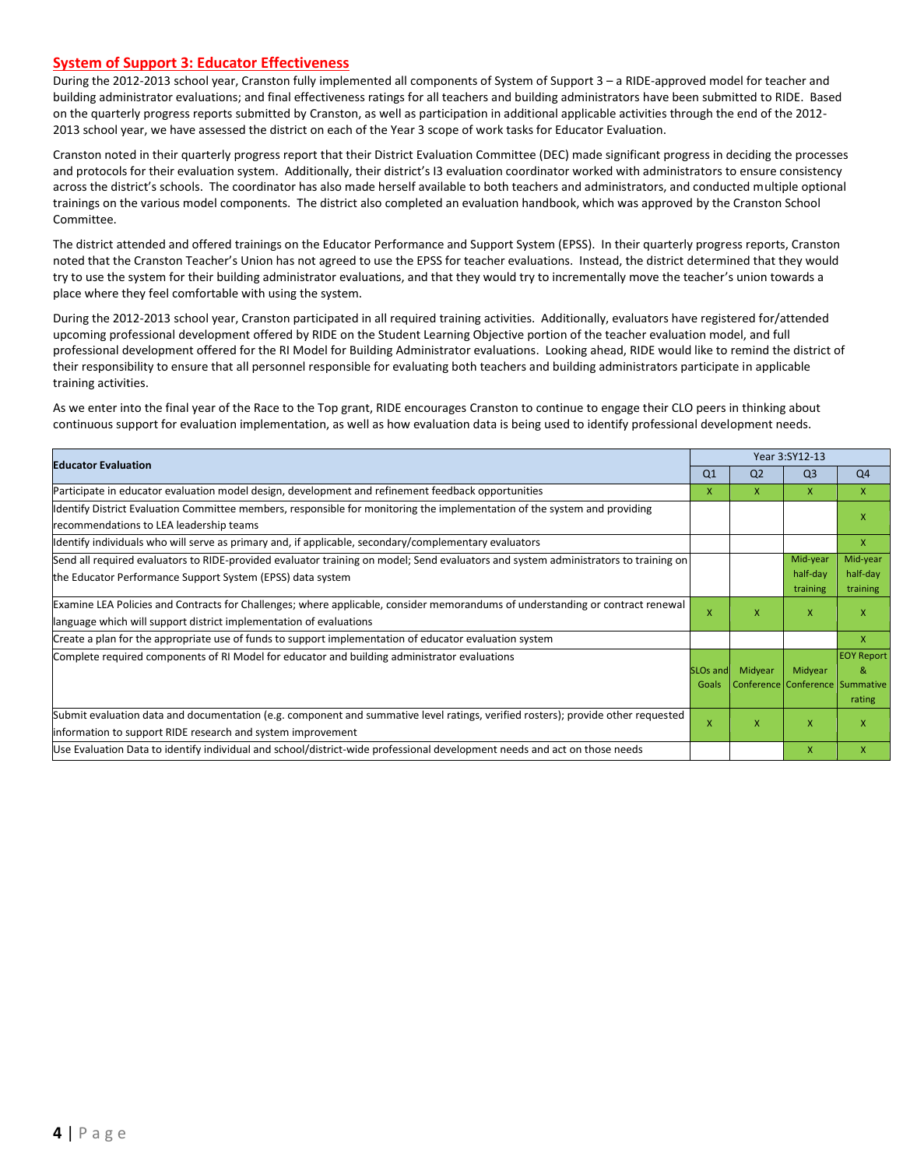#### **System of Support 3: Educator Effectiveness**

During the 2012-2013 school year, Cranston fully implemented all components of System of Support 3 – a RIDE-approved model for teacher and building administrator evaluations; and final effectiveness ratings for all teachers and building administrators have been submitted to RIDE. Based on the quarterly progress reports submitted by Cranston, as well as participation in additional applicable activities through the end of the 2012- 2013 school year, we have assessed the district on each of the Year 3 scope of work tasks for Educator Evaluation.

Cranston noted in their quarterly progress report that their District Evaluation Committee (DEC) made significant progress in deciding the processes and protocols for their evaluation system. Additionally, their district's I3 evaluation coordinator worked with administrators to ensure consistency across the district's schools. The coordinator has also made herself available to both teachers and administrators, and conducted multiple optional trainings on the various model components. The district also completed an evaluation handbook, which was approved by the Cranston School Committee.

The district attended and offered trainings on the Educator Performance and Support System (EPSS). In their quarterly progress reports, Cranston noted that the Cranston Teacher's Union has not agreed to use the EPSS for teacher evaluations. Instead, the district determined that they would try to use the system for their building administrator evaluations, and that they would try to incrementally move the teacher's union towards a place where they feel comfortable with using the system.

During the 2012-2013 school year, Cranston participated in all required training activities. Additionally, evaluators have registered for/attended upcoming professional development offered by RIDE on the Student Learning Objective portion of the teacher evaluation model, and full professional development offered for the RI Model for Building Administrator evaluations. Looking ahead, RIDE would like to remind the district of their responsibility to ensure that all personnel responsible for evaluating both teachers and building administrators participate in applicable training activities.

As we enter into the final year of the Race to the Top grant, RIDE encourages Cranston to continue to engage their CLO peers in thinking about continuous support for evaluation implementation, as well as how evaluation data is being used to identify professional development needs.

| <b>Educator Evaluation</b>                                                                                                                                                                           |                          |                | Year 3:SY12-13                             |                                                            |  |
|------------------------------------------------------------------------------------------------------------------------------------------------------------------------------------------------------|--------------------------|----------------|--------------------------------------------|------------------------------------------------------------|--|
|                                                                                                                                                                                                      | Q <sub>1</sub>           | Q <sub>2</sub> | Q <sub>3</sub>                             | Q <sub>4</sub>                                             |  |
| Participate in educator evaluation model design, development and refinement feedback opportunities                                                                                                   | X                        | X.             | $\mathsf{x}$                               | $\mathsf{X}$                                               |  |
| Identify District Evaluation Committee members, responsible for monitoring the implementation of the system and providing<br>recommendations to LEA leadership teams                                 |                          |                |                                            | x                                                          |  |
| ldentify individuals who will serve as primary and, if applicable, secondary/complementary evaluators                                                                                                |                          |                |                                            | $\mathsf{x}$                                               |  |
| Send all required evaluators to RIDE-provided evaluator training on model; Send evaluators and system administrators to training on<br>the Educator Performance Support System (EPSS) data system    |                          |                | Mid-year<br>half-day<br>training           | Mid-year<br>half-day<br>training                           |  |
| Examine LEA Policies and Contracts for Challenges; where applicable, consider memorandums of understanding or contract renewal<br>language which will support district implementation of evaluations |                          | X.             | $\mathsf{x}$                               | X                                                          |  |
| Create a plan for the appropriate use of funds to support implementation of educator evaluation system                                                                                               |                          |                |                                            | $\mathsf{x}$                                               |  |
| Complete required components of RI Model for educator and building administrator evaluations                                                                                                         | <b>SLOs and</b><br>Goals | Midyear        | Midyear<br>Conference Conference Summative | <b>EOY Report</b><br>$\mathcal{R}_{\mathcal{L}}$<br>rating |  |
| Submit evaluation data and documentation (e.g. component and summative level ratings, verified rosters); provide other requested<br>information to support RIDE research and system improvement      | X                        | X              | X                                          | x                                                          |  |
| Use Evaluation Data to identify individual and school/district-wide professional development needs and act on those needs                                                                            |                          |                | X                                          | $\mathsf{x}$                                               |  |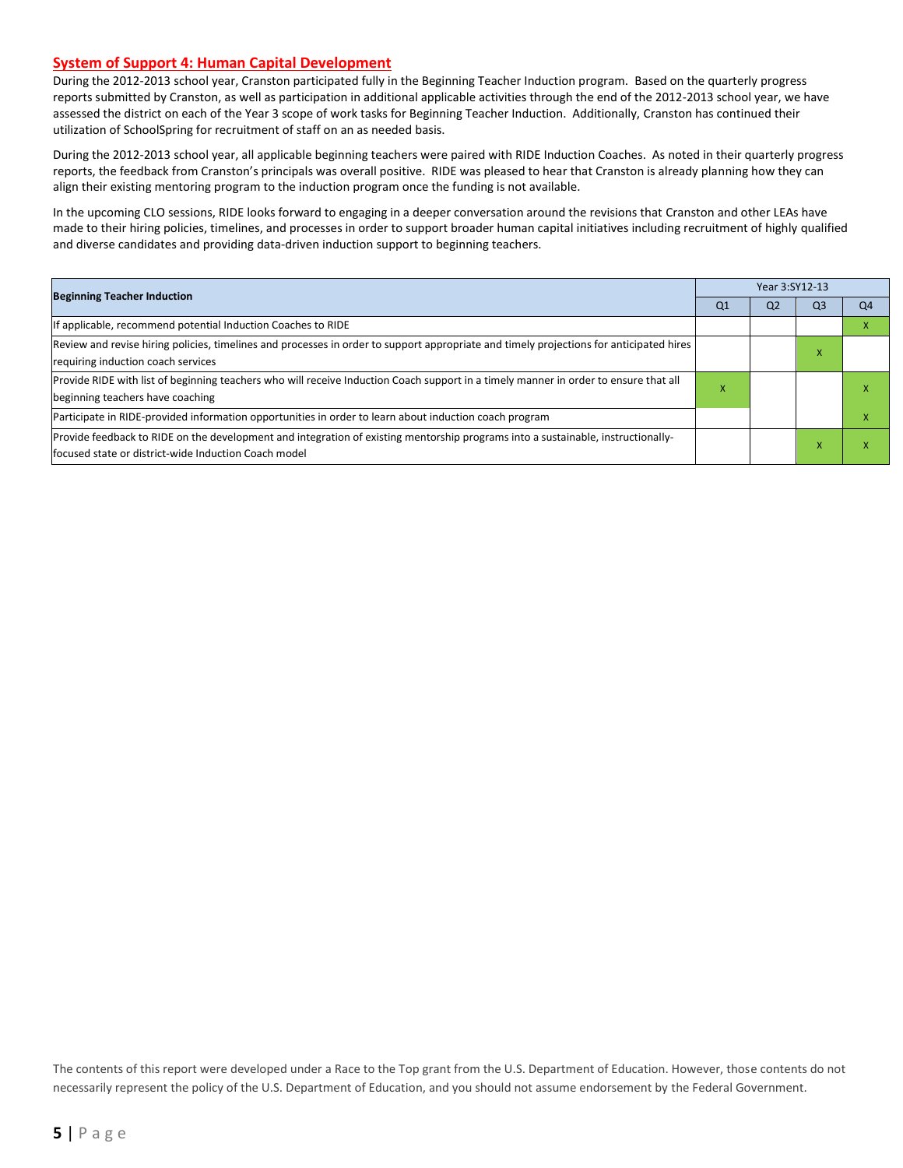#### **System of Support 4: Human Capital Development**

During the 2012-2013 school year, Cranston participated fully in the Beginning Teacher Induction program. Based on the quarterly progress reports submitted by Cranston, as well as participation in additional applicable activities through the end of the 2012-2013 school year, we have assessed the district on each of the Year 3 scope of work tasks for Beginning Teacher Induction. Additionally, Cranston has continued their utilization of SchoolSpring for recruitment of staff on an as needed basis.

During the 2012-2013 school year, all applicable beginning teachers were paired with RIDE Induction Coaches. As noted in their quarterly progress reports, the feedback from Cranston's principals was overall positive. RIDE was pleased to hear that Cranston is already planning how they can align their existing mentoring program to the induction program once the funding is not available.

In the upcoming CLO sessions, RIDE looks forward to engaging in a deeper conversation around the revisions that Cranston and other LEAs have made to their hiring policies, timelines, and processes in order to support broader human capital initiatives including recruitment of highly qualified and diverse candidates and providing data-driven induction support to beginning teachers.

|                                                                                                                                                                                           |    | Year 3:SY12-13 |                |                |  |  |  |
|-------------------------------------------------------------------------------------------------------------------------------------------------------------------------------------------|----|----------------|----------------|----------------|--|--|--|
| <b>Beginning Teacher Induction</b>                                                                                                                                                        | Q1 | Q <sub>2</sub> | Q <sub>3</sub> | Q <sub>4</sub> |  |  |  |
| f applicable, recommend potential Induction Coaches to RIDE                                                                                                                               |    |                |                |                |  |  |  |
| Review and revise hiring policies, timelines and processes in order to support appropriate and timely projections for anticipated hires                                                   |    |                | X              |                |  |  |  |
| requiring induction coach services                                                                                                                                                        |    |                |                |                |  |  |  |
| Provide RIDE with list of beginning teachers who will receive Induction Coach support in a timely manner in order to ensure that all                                                      | л  |                |                |                |  |  |  |
| beginning teachers have coaching                                                                                                                                                          |    |                |                |                |  |  |  |
| Participate in RIDE-provided information opportunities in order to learn about induction coach program                                                                                    |    |                |                |                |  |  |  |
| Provide feedback to RIDE on the development and integration of existing mentorship programs into a sustainable, instructionally-<br>lfocused state or district-wide Induction Coach model |    |                |                |                |  |  |  |

The contents of this report were developed under a Race to the Top grant from the U.S. Department of Education. However, those contents do not necessarily represent the policy of the U.S. Department of Education, and you should not assume endorsement by the Federal Government.